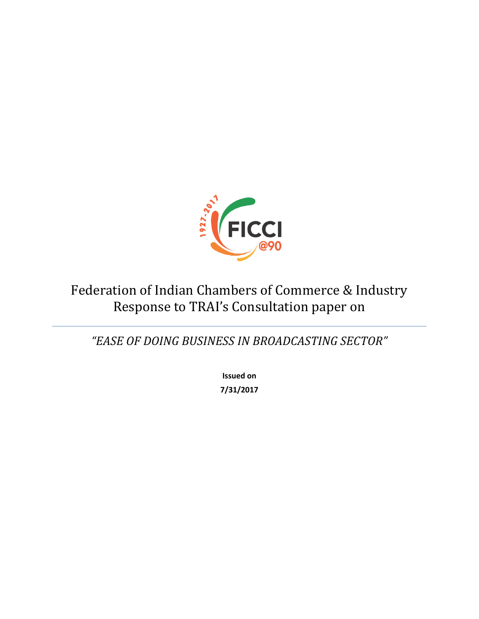

# Federation of Indian Chambers of Commerce & Industry Response to TRAI's Consultation paper on

*"EASE OF DOING BUSINESS IN BROADCASTING SECTOR"*

**Issued on 7/31/2017**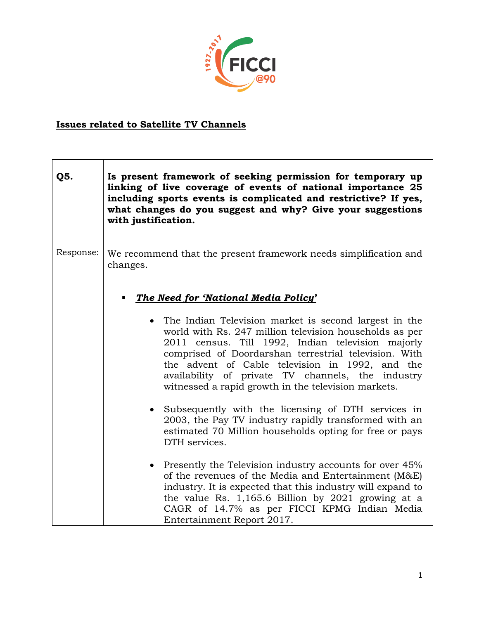

## **Issues related to Satellite TV Channels**

| Q5.       | Is present framework of seeking permission for temporary up<br>linking of live coverage of events of national importance 25<br>including sports events is complicated and restrictive? If yes,<br>what changes do you suggest and why? Give your suggestions<br>with justification.                                                                                                             |
|-----------|-------------------------------------------------------------------------------------------------------------------------------------------------------------------------------------------------------------------------------------------------------------------------------------------------------------------------------------------------------------------------------------------------|
| Response: | We recommend that the present framework needs simplification and<br>changes.<br>The Need for 'National Media Policy'                                                                                                                                                                                                                                                                            |
|           | • The Indian Television market is second largest in the<br>world with Rs. 247 million television households as per<br>2011 census. Till 1992, Indian television majorly<br>comprised of Doordarshan terrestrial television. With<br>the advent of Cable television in 1992, and the<br>availability of private TV channels, the industry<br>witnessed a rapid growth in the television markets. |
|           | • Subsequently with the licensing of DTH services in<br>2003, the Pay TV industry rapidly transformed with an<br>estimated 70 Million households opting for free or pays<br>DTH services.                                                                                                                                                                                                       |
|           | • Presently the Television industry accounts for over 45%<br>of the revenues of the Media and Entertainment (M&E)<br>industry. It is expected that this industry will expand to<br>the value Rs. 1,165.6 Billion by 2021 growing at a<br>CAGR of 14.7% as per FICCI KPMG Indian Media<br>Entertainment Report 2017.                                                                             |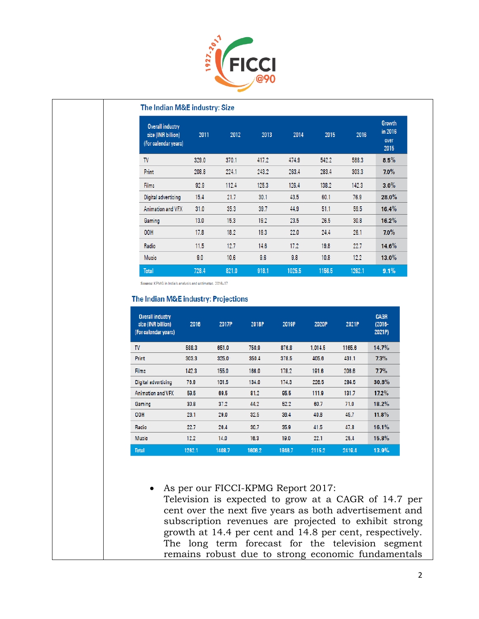

#### The Indian M&E industry: Size

| <b>Overall industry</b><br>size (INR billion)<br>(For calendar years) | 2011  | 2012  | 2013  | 2014   | 2015   | 2016   | <b>Growth</b><br>in 2016<br>over<br>2015 |
|-----------------------------------------------------------------------|-------|-------|-------|--------|--------|--------|------------------------------------------|
| <b>TV</b>                                                             | 329.0 | 370.1 | 417.2 | 474.9  | 542.2  | 588.3  | 8.5%                                     |
| <b>Print</b>                                                          | 208.8 | 224.1 | 243.2 | 263.4  | 283.4  | 303.3  | $7.0\%$                                  |
| Films                                                                 | 92.9  | 112.4 | 125.3 | 126.4  | 138.2  | 142.3  | $3.0\%$                                  |
| Digital advertising                                                   | 15.4  | 21.7  | 30.1  | 43.5   | 60.1   | 76.9   | $28.0\%$                                 |
| Animation and VFX                                                     | 31.0  | 35.3  | 39.7  | 44.9   | 51.1   | 59.5   | 16.4%                                    |
| Gaming                                                                | 13.0  | 15.3  | 19.2  | 23.5   | 26.5   | 30.8   | $16.2\%$                                 |
| 00H                                                                   | 17.8  | 18.2  | 19.3  | 22.0   | 24.4   | 26.1   | $7.0\%$                                  |
| Radio                                                                 | 11.5  | 12.7  | 14.6  | 17.2   | 19.8   | 22.7   | $14.6\%$                                 |
| Music                                                                 | 9.0   | 10.6  | 9.6   | 9.8    | 10.8   | 12.2   | $13.0\%$                                 |
| <b>Total</b>                                                          | 728.4 | 821.0 | 918.1 | 1025.5 | 1156.5 | 1262.1 | 9.1%                                     |

Source: KPMG in India's analysis and estimates, 2016-17

#### The Indian M&E industry: Projections

| <b>Overall industry</b><br>size (INR billion)<br>(For calendar years) | 2016   | 2017P  | 2018P  | 2019P  | 2020P   | 2021P  | <b>CAGR</b><br>$(2016 -$<br>2021P) |
|-----------------------------------------------------------------------|--------|--------|--------|--------|---------|--------|------------------------------------|
| TV                                                                    | 588.3  | 651.0  | 750.9  | 876.8  | 1.014.5 | 1165.6 | 14.7%                              |
| Print                                                                 | 303.3  | 325.0  | 350.4  | 378.5  | 405.6   | 431.1  | 7.3%                               |
| Films                                                                 | 142.3  | 155.0  | 166.0  | 178.2  | 191.6   | 206.6  | 7.7%                               |
| <b>Digital advertising</b>                                            | 76.9   | 101.5  | 134.0  | 174.3  | 226.5   | 294.5  | 30.8%                              |
| Animation and VFX                                                     | 59.5   | 69.5   | 81.2   | 95.5   | 111.9   | 131.7  | $17.2\%$                           |
| Gaming                                                                | 30.8   | 37.2   | 44.2   | 52.2   | 60.7    | 71.0   | 18.2%                              |
| <b>OOH</b>                                                            | 28.1   | 29.0   | 32.5   | 36.4   | 40.8    | 45.7   | 11.8%                              |
| Radio                                                                 | 22.7   | 26.4   | 30.7   | 35.9   | 41.5    | 47.8   | 16.1%                              |
| Music                                                                 | 12.2   | 14.0   | 16.3   | 19.0   | 22.1    | 25.4   | 15.8%                              |
| <b>Total</b>                                                          | 1262.1 | 1408.7 | 1606.2 | 1846.7 | 2115.2  | 2419.4 | 13.9%                              |

 As per our FICCI-KPMG Report 2017: Television is expected to grow at a CAGR of 14.7 per cent over the next five years as both advertisement and subscription revenues are projected to exhibit strong growth at 14.4 per cent and 14.8 per cent, respectively. The long term forecast for the television segment remains robust due to strong economic fundamentals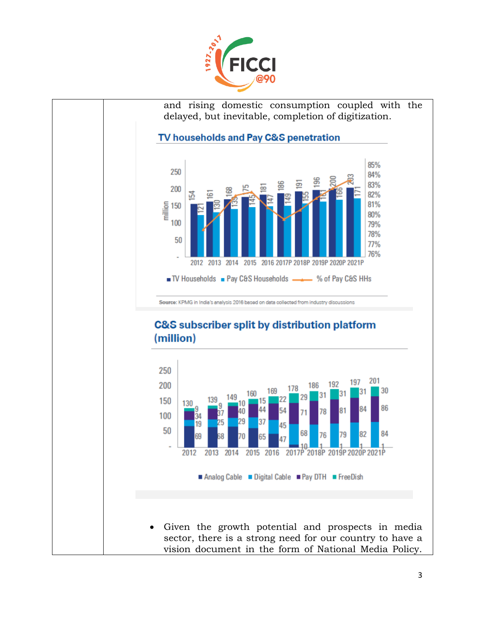

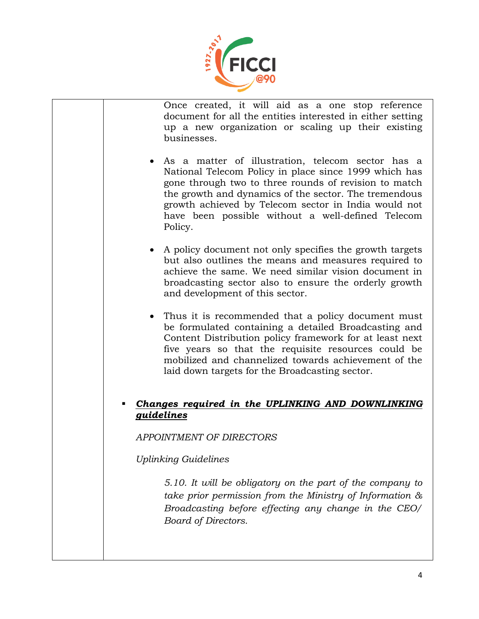

Once created, it will aid as a one stop reference document for all the entities interested in either setting up a new organization or scaling up their existing businesses.

- As a matter of illustration, telecom sector has a National Telecom Policy in place since 1999 which has gone through two to three rounds of revision to match the growth and dynamics of the sector. The tremendous growth achieved by Telecom sector in India would not have been possible without a well-defined Telecom Policy.
- A policy document not only specifies the growth targets but also outlines the means and measures required to achieve the same. We need similar vision document in broadcasting sector also to ensure the orderly growth and development of this sector.
- Thus it is recommended that a policy document must be formulated containing a detailed Broadcasting and Content Distribution policy framework for at least next five years so that the requisite resources could be mobilized and channelized towards achievement of the laid down targets for the Broadcasting sector.

#### *Changes required in the UPLINKING AND DOWNLINKING guidelines*

*APPOINTMENT OF DIRECTORS*

*Uplinking Guidelines*

*5.10. It will be obligatory on the part of the company to take prior permission from the Ministry of Information & Broadcasting before effecting any change in the CEO/ Board of Directors.*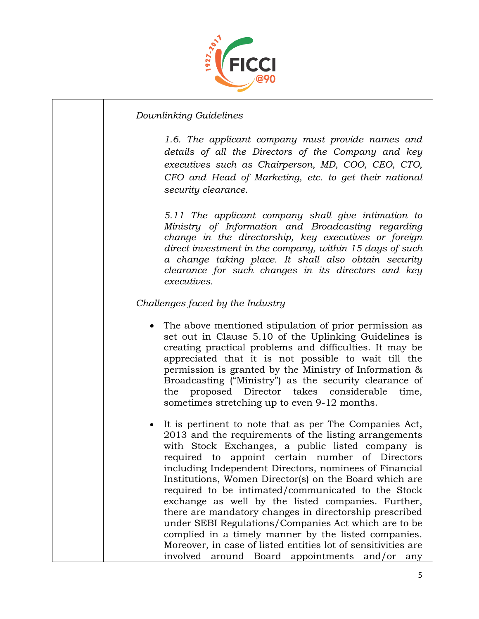

#### *Downlinking Guidelines*

*1.6. The applicant company must provide names and details of all the Directors of the Company and key executives such as Chairperson, MD, COO, CEO, CTO, CFO and Head of Marketing, etc. to get their national security clearance.* 

*5.11 The applicant company shall give intimation to Ministry of Information and Broadcasting regarding change in the directorship, key executives or foreign direct investment in the company, within 15 days of such a change taking place. It shall also obtain security clearance for such changes in its directors and key executives.*

#### *Challenges faced by the Industry*

- The above mentioned stipulation of prior permission as set out in Clause 5.10 of the Uplinking Guidelines is creating practical problems and difficulties. It may be appreciated that it is not possible to wait till the permission is granted by the Ministry of Information & Broadcasting ("Ministry") as the security clearance of the proposed Director takes considerable time, sometimes stretching up to even 9-12 months.
- It is pertinent to note that as per The Companies Act, 2013 and the requirements of the listing arrangements with Stock Exchanges, a public listed company is required to appoint certain number of Directors including Independent Directors, nominees of Financial Institutions, Women Director(s) on the Board which are required to be intimated/communicated to the Stock exchange as well by the listed companies. Further, there are mandatory changes in directorship prescribed under SEBI Regulations/Companies Act which are to be complied in a timely manner by the listed companies. Moreover, in case of listed entities lot of sensitivities are involved around Board appointments and/or any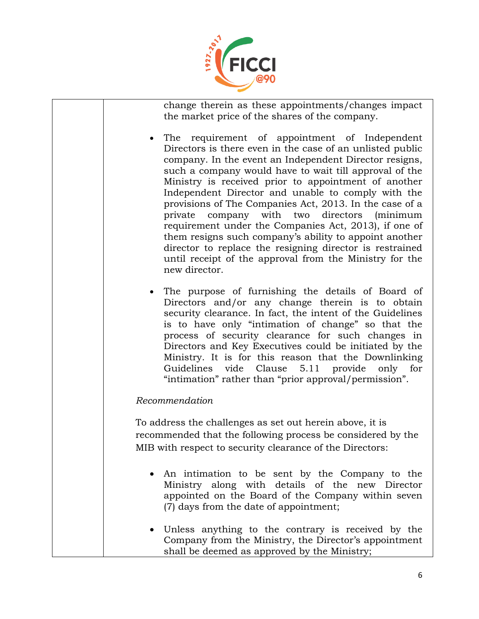

change therein as these appointments/changes impact the market price of the shares of the company.

- The requirement of appointment of Independent Directors is there even in the case of an unlisted public company. In the event an Independent Director resigns, such a company would have to wait till approval of the Ministry is received prior to appointment of another Independent Director and unable to comply with the provisions of The Companies Act, 2013. In the case of a private company with two directors (minimum requirement under the Companies Act, 2013), if one of them resigns such company's ability to appoint another director to replace the resigning director is restrained until receipt of the approval from the Ministry for the new director.
- The purpose of furnishing the details of Board of Directors and/or any change therein is to obtain security clearance. In fact, the intent of the Guidelines is to have only "intimation of change" so that the process of security clearance for such changes in Directors and Key Executives could be initiated by the Ministry. It is for this reason that the Downlinking Guidelines vide Clause 5.11 provide only for "intimation" rather than "prior approval/permission".

#### *Recommendation*

To address the challenges as set out herein above, it is recommended that the following process be considered by the MIB with respect to security clearance of the Directors:

- An intimation to be sent by the Company to the Ministry along with details of the new Director appointed on the Board of the Company within seven (7) days from the date of appointment;
- Unless anything to the contrary is received by the Company from the Ministry, the Director's appointment shall be deemed as approved by the Ministry;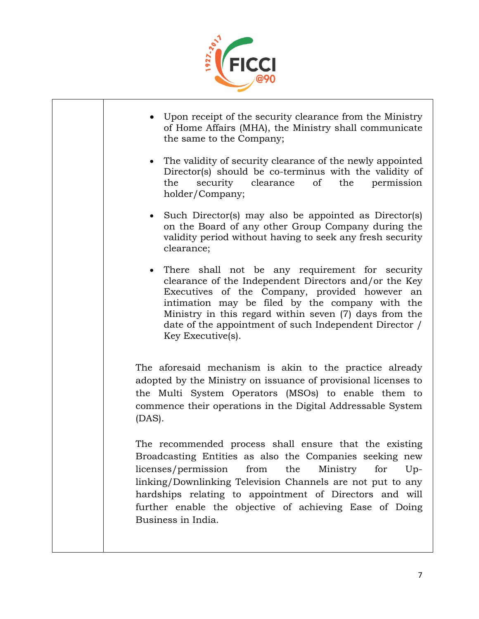

 Upon receipt of the security clearance from the Ministry of Home Affairs (MHA), the Ministry shall communicate the same to the Company; The validity of security clearance of the newly appointed Director(s) should be co-terminus with the validity of the security clearance of the permission holder/Company; • Such Director(s) may also be appointed as Director(s) on the Board of any other Group Company during the validity period without having to seek any fresh security clearance; There shall not be any requirement for security clearance of the Independent Directors and/or the Key Executives of the Company, provided however an intimation may be filed by the company with the Ministry in this regard within seven (7) days from the date of the appointment of such Independent Director / Key Executive(s). The aforesaid mechanism is akin to the practice already adopted by the Ministry on issuance of provisional licenses to the Multi System Operators (MSOs) to enable them to commence their operations in the Digital Addressable System (DAS). The recommended process shall ensure that the existing Broadcasting Entities as also the Companies seeking new licenses/permission from the Ministry for Uplinking/Downlinking Television Channels are not put to any hardships relating to appointment of Directors and will further enable the objective of achieving Ease of Doing Business in India.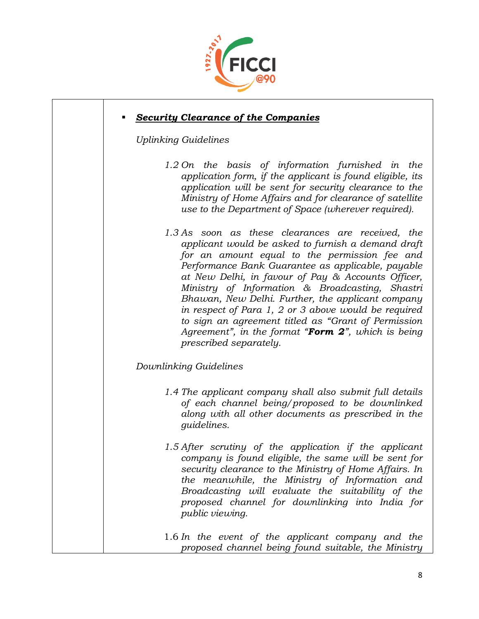

#### *Security Clearance of the Companies*

*Uplinking Guidelines*

- *1.2 On the basis of information furnished in the application form, if the applicant is found eligible, its application will be sent for security clearance to the Ministry of Home Affairs and for clearance of satellite use to the Department of Space (wherever required).*
- *1.3 As soon as these clearances are received, the applicant would be asked to furnish a demand draft for an amount equal to the permission fee and Performance Bank Guarantee as applicable, payable at New Delhi, in favour of Pay & Accounts Officer, Ministry of Information & Broadcasting, Shastri Bhawan, New Delhi. Further, the applicant company in respect of Para 1, 2 or 3 above would be required to sign an agreement titled as "Grant of Permission Agreement", in the format "Form 2", which is being prescribed separately.*

#### *Downlinking Guidelines*

- *1.4 The applicant company shall also submit full details of each channel being/proposed to be downlinked along with all other documents as prescribed in the guidelines.*
- *1.5 After scrutiny of the application if the applicant company is found eligible, the same will be sent for security clearance to the Ministry of Home Affairs. In the meanwhile, the Ministry of Information and Broadcasting will evaluate the suitability of the proposed channel for downlinking into India for public viewing.*

1.6 *In the event of the applicant company and the proposed channel being found suitable, the Ministry*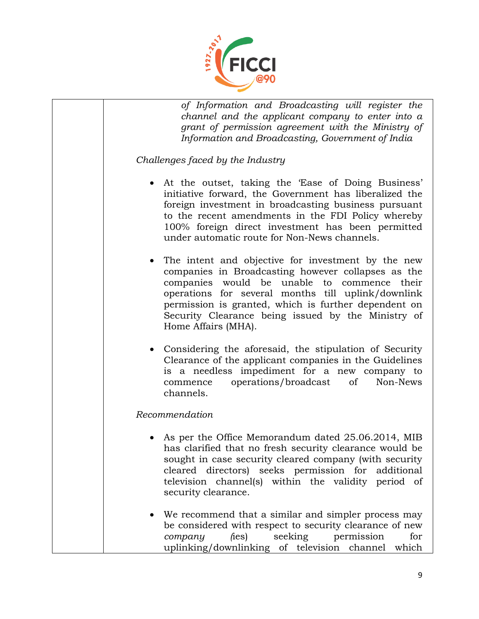

*of Information and Broadcasting will register the channel and the applicant company to enter into a grant of permission agreement with the Ministry of Information and Broadcasting, Government of India*

*Challenges faced by the Industry*

- At the outset, taking the 'Ease of Doing Business' initiative forward, the Government has liberalized the foreign investment in broadcasting business pursuant to the recent amendments in the FDI Policy whereby 100% foreign direct investment has been permitted under automatic route for Non-News channels.
- The intent and objective for investment by the new companies in Broadcasting however collapses as the companies would be unable to commence their operations for several months till uplink/downlink permission is granted, which is further dependent on Security Clearance being issued by the Ministry of Home Affairs (MHA).
- Considering the aforesaid, the stipulation of Security Clearance of the applicant companies in the Guidelines is a needless impediment for a new company to commence operations/broadcast of Non-News channels.

#### *Recommendation*

- As per the Office Memorandum dated 25.06.2014, MIB has clarified that no fresh security clearance would be sought in case security cleared company (with security cleared directors) seeks permission for additional television channel(s) within the validity period of security clearance.
- We recommend that a similar and simpler process may be considered with respect to security clearance of new *company* (ies) seeking permission for uplinking/downlinking of television channel which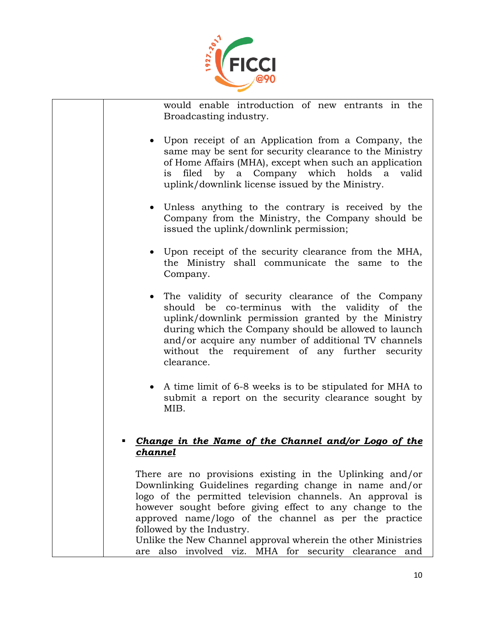

would enable introduction of new entrants in the Broadcasting industry.

- Upon receipt of an Application from a Company, the same may be sent for security clearance to the Ministry of Home Affairs (MHA), except when such an application is filed by a Company which holds a valid uplink/downlink license issued by the Ministry.
- Unless anything to the contrary is received by the Company from the Ministry, the Company should be issued the uplink/downlink permission;
- Upon receipt of the security clearance from the MHA, the Ministry shall communicate the same to the Company.
- The validity of security clearance of the Company should be co-terminus with the validity of the uplink/downlink permission granted by the Ministry during which the Company should be allowed to launch and/or acquire any number of additional TV channels without the requirement of any further security clearance.
- A time limit of 6-8 weeks is to be stipulated for MHA to submit a report on the security clearance sought by MIB.

#### *Change in the Name of the Channel and/or Logo of the channel*

There are no provisions existing in the Uplinking and/or Downlinking Guidelines regarding change in name and/or logo of the permitted television channels. An approval is however sought before giving effect to any change to the approved name/logo of the channel as per the practice followed by the Industry.

Unlike the New Channel approval wherein the other Ministries are also involved viz. MHA for security clearance and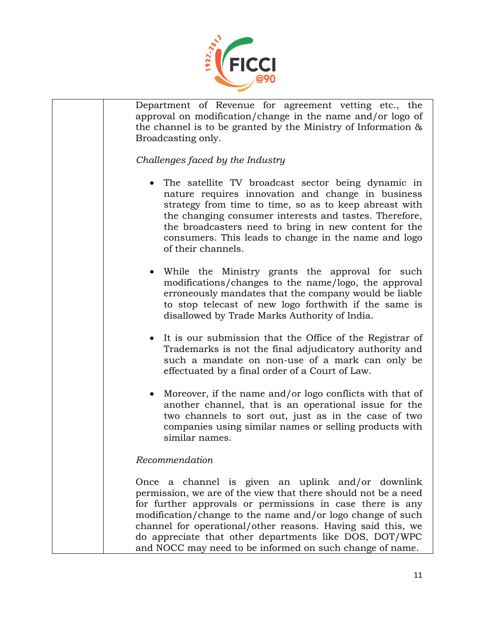

Department of Revenue for agreement vetting etc., the approval on modification/change in the name and/or logo of the channel is to be granted by the Ministry of Information & Broadcasting only.

*Challenges faced by the Industry*

- The satellite TV broadcast sector being dynamic in nature requires innovation and change in business strategy from time to time, so as to keep abreast with the changing consumer interests and tastes. Therefore, the broadcasters need to bring in new content for the consumers. This leads to change in the name and logo of their channels.
- While the Ministry grants the approval for such modifications/changes to the name/logo, the approval erroneously mandates that the company would be liable to stop telecast of new logo forthwith if the same is disallowed by Trade Marks Authority of India.
- It is our submission that the Office of the Registrar of Trademarks is not the final adjudicatory authority and such a mandate on non-use of a mark can only be effectuated by a final order of a Court of Law.
- Moreover, if the name and/or logo conflicts with that of another channel, that is an operational issue for the two channels to sort out, just as in the case of two companies using similar names or selling products with similar names.

### *Recommendation*

Once a channel is given an uplink and/or downlink permission, we are of the view that there should not be a need for further approvals or permissions in case there is any modification/change to the name and/or logo change of such channel for operational/other reasons. Having said this, we do appreciate that other departments like DOS, DOT/WPC and NOCC may need to be informed on such change of name.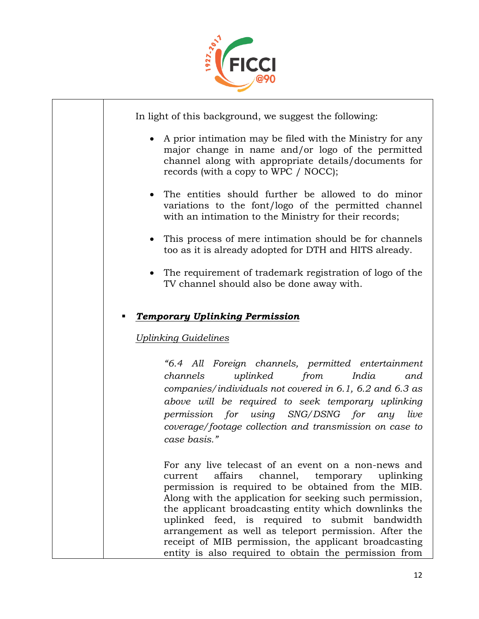

In light of this background, we suggest the following:

- A prior intimation may be filed with the Ministry for any major change in name and/or logo of the permitted channel along with appropriate details/documents for records (with a copy to WPC / NOCC);
- The entities should further be allowed to do minor variations to the font/logo of the permitted channel with an intimation to the Ministry for their records;
- This process of mere intimation should be for channels too as it is already adopted for DTH and HITS already.
- The requirement of trademark registration of logo of the TV channel should also be done away with.

### *Temporary Uplinking Permission*

#### *Uplinking Guidelines*

*"6.4 All Foreign channels, permitted entertainment channels uplinked from India and companies/individuals not covered in 6.1, 6.2 and 6.3 as above will be required to seek temporary uplinking permission for using SNG/DSNG for any live coverage/footage collection and transmission on case to case basis."*

For any live telecast of an event on a non-news and current affairs channel, temporary uplinking permission is required to be obtained from the MIB. Along with the application for seeking such permission, the applicant broadcasting entity which downlinks the uplinked feed, is required to submit bandwidth arrangement as well as teleport permission. After the receipt of MIB permission, the applicant broadcasting entity is also required to obtain the permission from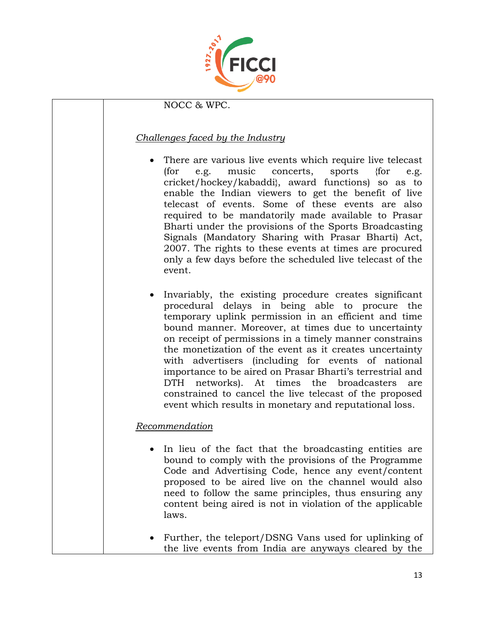

#### NOCC & WPC.

#### *Challenges faced by the Industry*

- There are various live events which require live telecast (for e.g. music concerts, sports {for e.g. cricket/hockey/kabaddi}, award functions) so as to enable the Indian viewers to get the benefit of live telecast of events. Some of these events are also required to be mandatorily made available to Prasar Bharti under the provisions of the Sports Broadcasting Signals (Mandatory Sharing with Prasar Bharti) Act, 2007. The rights to these events at times are procured only a few days before the scheduled live telecast of the event.
- Invariably, the existing procedure creates significant procedural delays in being able to procure the temporary uplink permission in an efficient and time bound manner. Moreover, at times due to uncertainty on receipt of permissions in a timely manner constrains the monetization of the event as it creates uncertainty with advertisers (including for events of national importance to be aired on Prasar Bharti's terrestrial and DTH networks). At times the broadcasters are constrained to cancel the live telecast of the proposed event which results in monetary and reputational loss.

#### *Recommendation*

- In lieu of the fact that the broadcasting entities are bound to comply with the provisions of the Programme Code and Advertising Code, hence any event/content proposed to be aired live on the channel would also need to follow the same principles, thus ensuring any content being aired is not in violation of the applicable laws.
- Further, the teleport/DSNG Vans used for uplinking of the live events from India are anyways cleared by the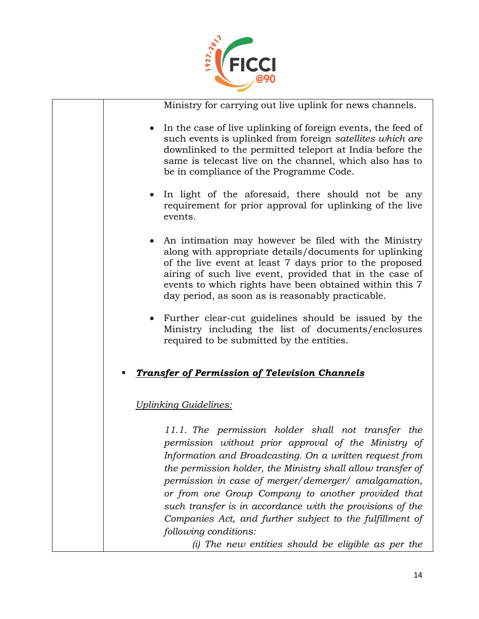

Ministry for carrying out live uplink for news channels.

- In the case of live uplinking of foreign events, the feed of such events is uplinked from foreign *satellites which are* downlinked to the permitted teleport at India before the same is telecast live on the channel, which also has to be in compliance of the Programme Code.
- In light of the aforesaid, there should not be any requirement for prior approval for uplinking of the live events.
- An intimation may however be filed with the Ministry along with appropriate details/documents for uplinking of the live event at least 7 days prior to the proposed airing of such live event, provided that in the case of events to which rights have been obtained within this 7 day period, as soon as is reasonably practicable.
- Further clear-cut guidelines should be issued by the Ministry including the list of documents/enclosures required to be submitted by the entities.

### *Transfer of Permission of Television Channels*

### *Uplinking Guidelines:*

*11.1. The permission holder shall not transfer the permission without prior approval of the Ministry of Information and Broadcasting. On a written request from the permission holder, the Ministry shall allow transfer of permission in case of merger/demerger/ amalgamation, or from one Group Company to another provided that such transfer is in accordance with the provisions of the Companies Act, and further subject to the fulfillment of following conditions:* 

*(i) The new entities should be eligible as per the*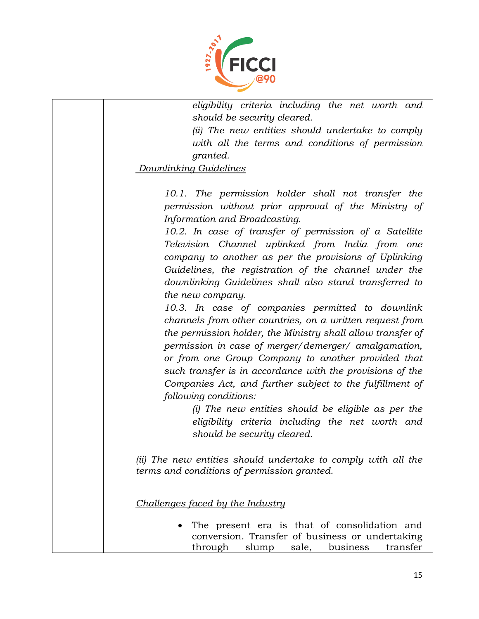

*eligibility criteria including the net worth and should be security cleared.* 

*(ii) The new entities should undertake to comply with all the terms and conditions of permission granted.* 

*Downlinking Guidelines*

*10.1. The permission holder shall not transfer the permission without prior approval of the Ministry of Information and Broadcasting.* 

*10.2. In case of transfer of permission of a Satellite Television Channel uplinked from India from one company to another as per the provisions of Uplinking Guidelines, the registration of the channel under the downlinking Guidelines shall also stand transferred to the new company.* 

*10.3. In case of companies permitted to downlink channels from other countries, on a written request from the permission holder, the Ministry shall allow transfer of permission in case of merger/demerger/ amalgamation, or from one Group Company to another provided that such transfer is in accordance with the provisions of the Companies Act, and further subject to the fulfillment of following conditions:* 

> *(i) The new entities should be eligible as per the eligibility criteria including the net worth and should be security cleared.*

*(ii) The new entities should undertake to comply with all the terms and conditions of permission granted.*

*Challenges faced by the Industry*

 The present era is that of consolidation and conversion. Transfer of business or undertaking through slump sale, business transfer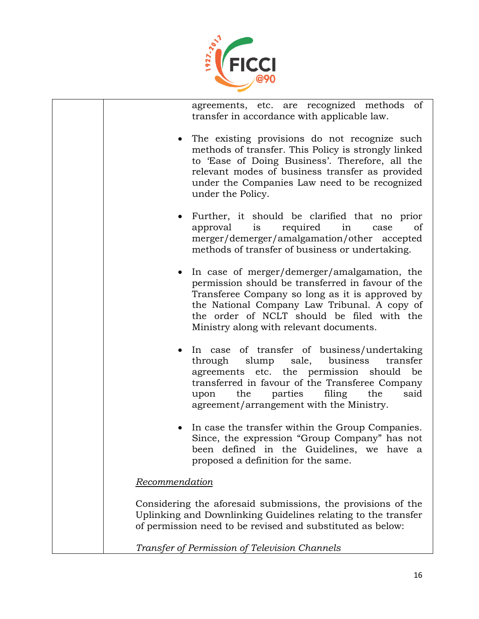

agreements, etc. are recognized methods of transfer in accordance with applicable law.

- The existing provisions do not recognize such methods of transfer. This Policy is strongly linked to 'Ease of Doing Business'. Therefore, all the relevant modes of business transfer as provided under the Companies Law need to be recognized under the Policy.
- Further, it should be clarified that no prior approval is required in case of merger/demerger/amalgamation/other accepted methods of transfer of business or undertaking.
- In case of merger/demerger/amalgamation, the permission should be transferred in favour of the Transferee Company so long as it is approved by the National Company Law Tribunal. A copy of the order of NCLT should be filed with the Ministry along with relevant documents.
- In case of transfer of business/undertaking through slump sale, business transfer agreements etc. the permission should be transferred in favour of the Transferee Company upon the parties filing the said agreement/arrangement with the Ministry.
- In case the transfer within the Group Companies. Since, the expression "Group Company" has not been defined in the Guidelines, we have a proposed a definition for the same.

#### *Recommendation*

Considering the aforesaid submissions, the provisions of the Uplinking and Downlinking Guidelines relating to the transfer of permission need to be revised and substituted as below:

*Transfer of Permission of Television Channels*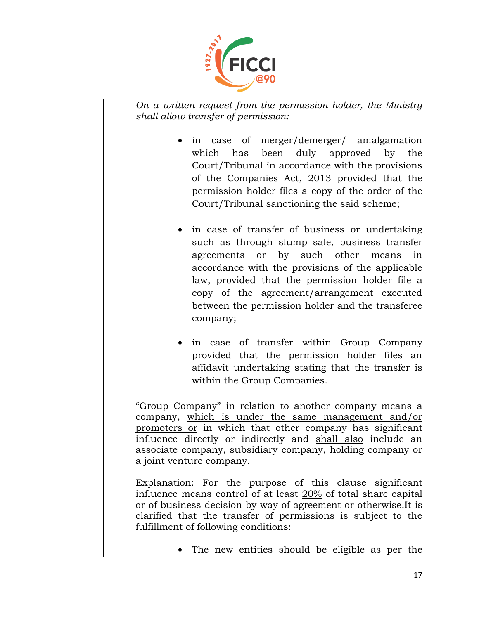

*On a written request from the permission holder, the Ministry shall allow transfer of permission:*

- in case of merger/demerger/ amalgamation which has been duly approved by the Court/Tribunal in accordance with the provisions of the Companies Act, 2013 provided that the permission holder files a copy of the order of the Court/Tribunal sanctioning the said scheme;
- in case of transfer of business or undertaking such as through slump sale, business transfer agreements or by such other means in accordance with the provisions of the applicable law, provided that the permission holder file a copy of the agreement/arrangement executed between the permission holder and the transferee company;
- in case of transfer within Group Company provided that the permission holder files an affidavit undertaking stating that the transfer is within the Group Companies.

"Group Company" in relation to another company means a company, which is under the same management and/or promoters or in which that other company has significant influence directly or indirectly and shall also include an associate company, subsidiary company, holding company or a joint venture company.

Explanation: For the purpose of this clause significant influence means control of at least 20% of total share capital or of business decision by way of agreement or otherwise.It is clarified that the transfer of permissions is subject to the fulfillment of following conditions:

The new entities should be eligible as per the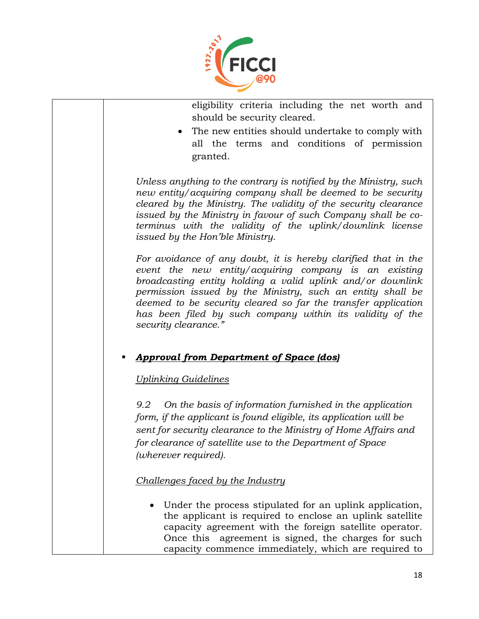

eligibility criteria including the net worth and should be security cleared.

 The new entities should undertake to comply with all the terms and conditions of permission granted.

*Unless anything to the contrary is notified by the Ministry, such new entity/acquiring company shall be deemed to be security cleared by the Ministry. The validity of the security clearance issued by the Ministry in favour of such Company shall be coterminus with the validity of the uplink/downlink license issued by the Hon'ble Ministry.* 

*For avoidance of any doubt, it is hereby clarified that in the event the new entity/acquiring company is an existing broadcasting entity holding a valid uplink and/or downlink permission issued by the Ministry, such an entity shall be deemed to be security cleared so far the transfer application has been filed by such company within its validity of the security clearance."*

### *Approval from Department of Space (dos)*

#### *Uplinking Guidelines*

*9.2 On the basis of information furnished in the application form, if the applicant is found eligible, its application will be sent for security clearance to the Ministry of Home Affairs and for clearance of satellite use to the Department of Space (wherever required).*

#### *Challenges faced by the Industry*

 Under the process stipulated for an uplink application, the applicant is required to enclose an uplink satellite capacity agreement with the foreign satellite operator. Once this agreement is signed, the charges for such capacity commence immediately, which are required to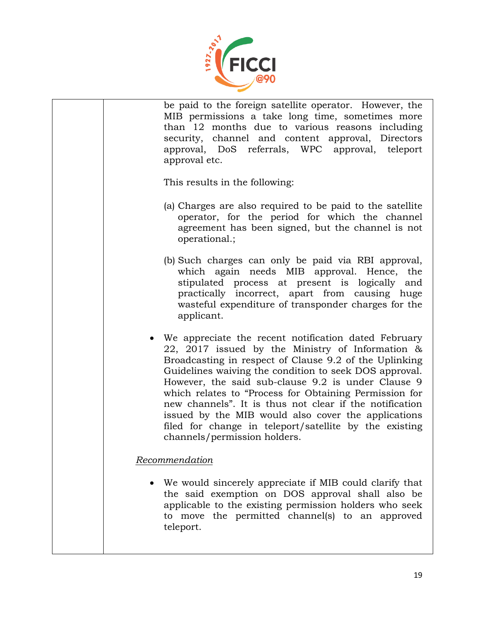

be paid to the foreign satellite operator. However, the MIB permissions a take long time, sometimes more than 12 months due to various reasons including security, channel and content approval, Directors approval, DoS referrals, WPC approval, teleport approval etc. This results in the following: (a) Charges are also required to be paid to the satellite operator, for the period for which the channel agreement has been signed, but the channel is not operational.; (b) Such charges can only be paid via RBI approval, which again needs MIB approval. Hence, the stipulated process at present is logically and practically incorrect, apart from causing huge wasteful expenditure of transponder charges for the applicant. We appreciate the recent notification dated February 22, 2017 issued by the Ministry of Information & Broadcasting in respect of Clause 9.2 of the Uplinking Guidelines waiving the condition to seek DOS approval. However, the said sub-clause 9.2 is under Clause 9 which relates to "Process for Obtaining Permission for new channels". It is thus not clear if the notification issued by the MIB would also cover the applications filed for change in teleport/satellite by the existing channels/permission holders. *Recommendation* We would sincerely appreciate if MIB could clarify that the said exemption on DOS approval shall also be applicable to the existing permission holders who seek

teleport.

to move the permitted channel(s) to an approved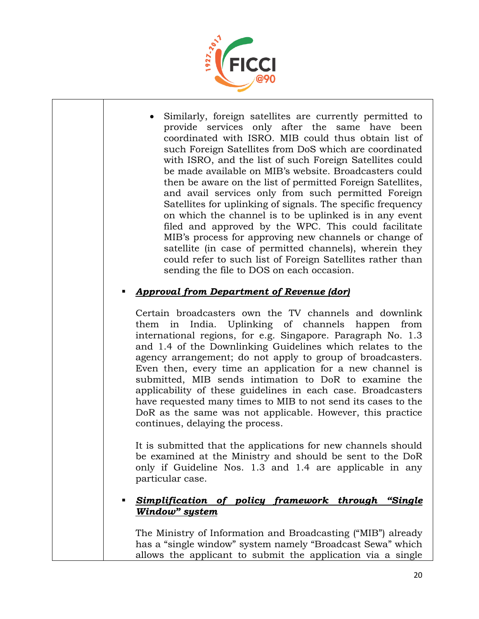

 Similarly, foreign satellites are currently permitted to provide services only after the same have been coordinated with ISRO. MIB could thus obtain list of such Foreign Satellites from DoS which are coordinated with ISRO, and the list of such Foreign Satellites could be made available on MIB's website. Broadcasters could then be aware on the list of permitted Foreign Satellites, and avail services only from such permitted Foreign Satellites for uplinking of signals. The specific frequency on which the channel is to be uplinked is in any event filed and approved by the WPC. This could facilitate MIB's process for approving new channels or change of satellite (in case of permitted channels), wherein they could refer to such list of Foreign Satellites rather than sending the file to DOS on each occasion.

### *Approval from Department of Revenue (dor)*

Certain broadcasters own the TV channels and downlink them in India. Uplinking of channels happen from international regions, for e.g. Singapore. Paragraph No. 1.3 and 1.4 of the Downlinking Guidelines which relates to the agency arrangement; do not apply to group of broadcasters. Even then, every time an application for a new channel is submitted, MIB sends intimation to DoR to examine the applicability of these guidelines in each case. Broadcasters have requested many times to MIB to not send its cases to the DoR as the same was not applicable. However, this practice continues, delaying the process.

It is submitted that the applications for new channels should be examined at the Ministry and should be sent to the DoR only if Guideline Nos. 1.3 and 1.4 are applicable in any particular case.

#### *Simplification of policy framework through "Single Window" system*

The Ministry of Information and Broadcasting ("MIB") already has a "single window" system namely "Broadcast Sewa" which allows the applicant to submit the application via a single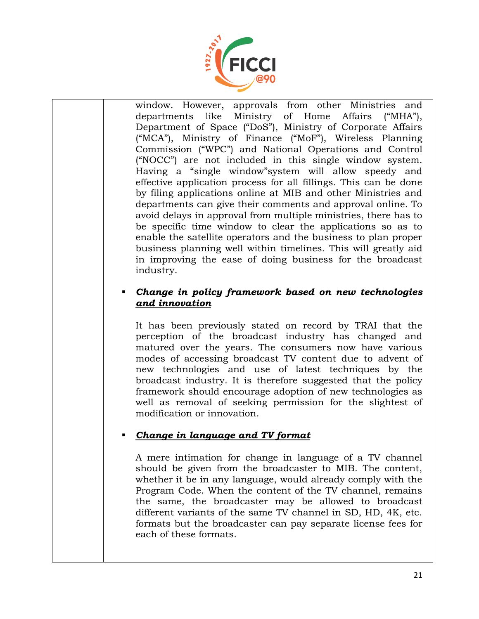

window. However, approvals from other Ministries and departments like Ministry of Home Affairs ("MHA"), Department of Space ("DoS"), Ministry of Corporate Affairs ("MCA"), Ministry of Finance ("MoF"), Wireless Planning Commission ("WPC") and National Operations and Control ("NOCC") are not included in this single window system. Having a "single window"system will allow speedy and effective application process for all fillings. This can be done by filing applications online at MIB and other Ministries and departments can give their comments and approval online. To avoid delays in approval from multiple ministries, there has to be specific time window to clear the applications so as to enable the satellite operators and the business to plan proper business planning well within timelines. This will greatly aid in improving the ease of doing business for the broadcast industry.

#### *Change in policy framework based on new technologies and innovation*

It has been previously stated on record by TRAI that the perception of the broadcast industry has changed and matured over the years. The consumers now have various modes of accessing broadcast TV content due to advent of new technologies and use of latest techniques by the broadcast industry. It is therefore suggested that the policy framework should encourage adoption of new technologies as well as removal of seeking permission for the slightest of modification or innovation.

### *Change in language and TV format*

A mere intimation for change in language of a TV channel should be given from the broadcaster to MIB. The content, whether it be in any language, would already comply with the Program Code. When the content of the TV channel, remains the same, the broadcaster may be allowed to broadcast different variants of the same TV channel in SD, HD, 4K, etc. formats but the broadcaster can pay separate license fees for each of these formats.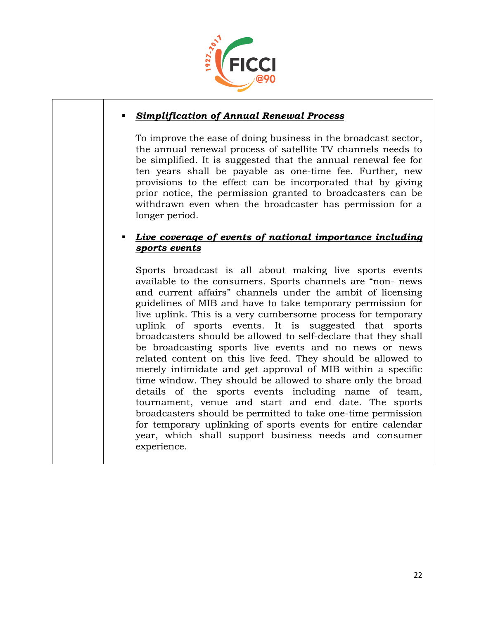

#### *Simplification of Annual Renewal Process*

To improve the ease of doing business in the broadcast sector, the annual renewal process of satellite TV channels needs to be simplified. It is suggested that the annual renewal fee for ten years shall be payable as one-time fee. Further, new provisions to the effect can be incorporated that by giving prior notice, the permission granted to broadcasters can be withdrawn even when the broadcaster has permission for a longer period.

#### *Live coverage of events of national importance including sports events*

Sports broadcast is all about making live sports events available to the consumers. Sports channels are "non- news and current affairs" channels under the ambit of licensing guidelines of MIB and have to take temporary permission for live uplink. This is a very cumbersome process for temporary uplink of sports events. It is suggested that sports broadcasters should be allowed to self-declare that they shall be broadcasting sports live events and no news or news related content on this live feed. They should be allowed to merely intimidate and get approval of MIB within a specific time window. They should be allowed to share only the broad details of the sports events including name of team, tournament, venue and start and end date. The sports broadcasters should be permitted to take one-time permission for temporary uplinking of sports events for entire calendar year, which shall support business needs and consumer experience.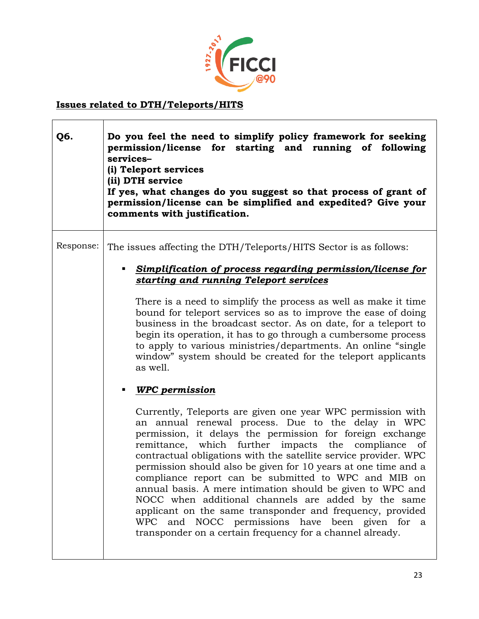

### **Issues related to DTH/Teleports/HITS**

| Q6.       | Do you feel the need to simplify policy framework for seeking<br>permission/license for starting and running of following<br>services-<br>(i) Teleport services<br>(ii) DTH service<br>If yes, what changes do you suggest so that process of grant of<br>permission/license can be simplified and expedited? Give your<br>comments with justification.                                                                                                                                                                                                                                                                                                                                                                                                                                                                                                                                                                                                                                                                                                                                                                                                                                                                                                                                                                                                                         |
|-----------|---------------------------------------------------------------------------------------------------------------------------------------------------------------------------------------------------------------------------------------------------------------------------------------------------------------------------------------------------------------------------------------------------------------------------------------------------------------------------------------------------------------------------------------------------------------------------------------------------------------------------------------------------------------------------------------------------------------------------------------------------------------------------------------------------------------------------------------------------------------------------------------------------------------------------------------------------------------------------------------------------------------------------------------------------------------------------------------------------------------------------------------------------------------------------------------------------------------------------------------------------------------------------------------------------------------------------------------------------------------------------------|
| Response: | The issues affecting the DTH/Teleports/HITS Sector is as follows:<br>Simplification of process regarding permission/license for<br>п<br>starting and running Teleport services<br>There is a need to simplify the process as well as make it time<br>bound for teleport services so as to improve the ease of doing<br>business in the broadcast sector. As on date, for a teleport to<br>begin its operation, it has to go through a cumbersome process<br>to apply to various ministries/departments. An online "single"<br>window" system should be created for the teleport applicants<br>as well.<br><b>WPC</b> permission<br>٠<br>Currently, Teleports are given one year WPC permission with<br>an annual renewal process. Due to the delay in WPC<br>permission, it delays the permission for foreign exchange<br>remittance, which further impacts the compliance<br>of<br>contractual obligations with the satellite service provider. WPC<br>permission should also be given for 10 years at one time and a<br>compliance report can be submitted to WPC and MIB on<br>annual basis. A mere intimation should be given to WPC and<br>NOCC when additional channels are added by the same<br>applicant on the same transponder and frequency, provided<br>WPC and NOCC permissions have been given for a<br>transponder on a certain frequency for a channel already. |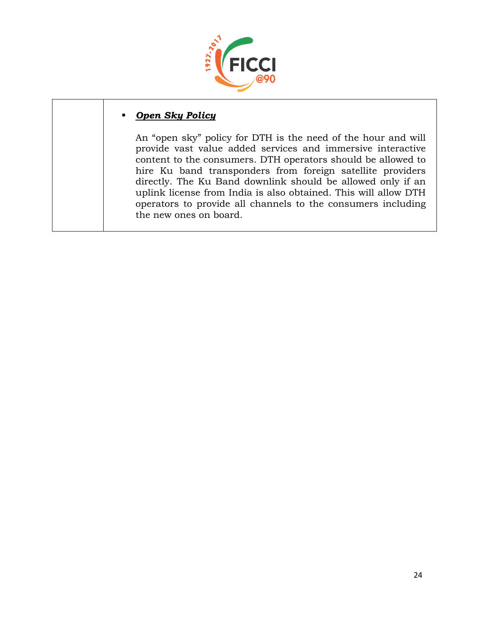

#### *Open Sky Policy*

An "open sky" policy for DTH is the need of the hour and will provide vast value added services and immersive interactive content to the consumers. DTH operators should be allowed to hire Ku band transponders from foreign satellite providers directly. The Ku Band downlink should be allowed only if an uplink license from India is also obtained. This will allow DTH operators to provide all channels to the consumers including the new ones on board.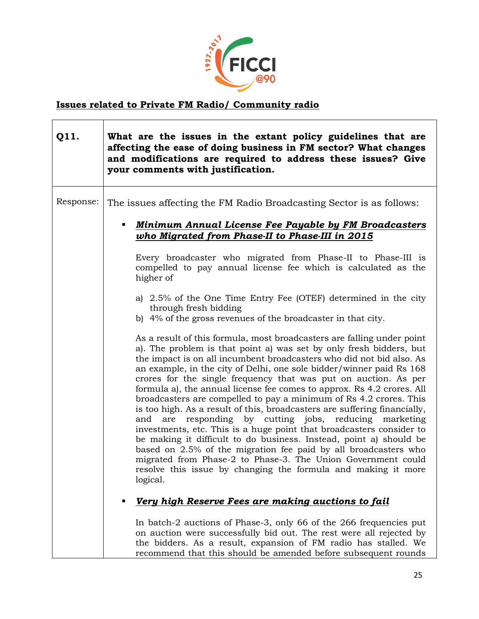

### **Issues related to Private FM Radio/ Community radio**

| Q11.      | What are the issues in the extant policy guidelines that are<br>affecting the ease of doing business in FM sector? What changes<br>and modifications are required to address these issues? Give<br>your comments with justification.                                                                                                                                                                                                                                                                                                                                                                                                                                                                                                                                                                                                                                                                                                                                                                                                                                                                                                                                                                                                                                                                                                                                                                                                                                                                                             |
|-----------|----------------------------------------------------------------------------------------------------------------------------------------------------------------------------------------------------------------------------------------------------------------------------------------------------------------------------------------------------------------------------------------------------------------------------------------------------------------------------------------------------------------------------------------------------------------------------------------------------------------------------------------------------------------------------------------------------------------------------------------------------------------------------------------------------------------------------------------------------------------------------------------------------------------------------------------------------------------------------------------------------------------------------------------------------------------------------------------------------------------------------------------------------------------------------------------------------------------------------------------------------------------------------------------------------------------------------------------------------------------------------------------------------------------------------------------------------------------------------------------------------------------------------------|
| Response: | The issues affecting the FM Radio Broadcasting Sector is as follows:<br><b>Minimum Annual License Fee Payable by FM Broadcasters</b><br>٠<br>who Migrated from Phase-II to Phase-III in 2015<br>Every broadcaster who migrated from Phase-II to Phase-III is<br>compelled to pay annual license fee which is calculated as the<br>higher of<br>a) 2.5% of the One Time Entry Fee (OTEF) determined in the city<br>through fresh bidding<br>b) 4% of the gross revenues of the broadcaster in that city.<br>As a result of this formula, most broadcasters are falling under point<br>a). The problem is that point a) was set by only fresh bidders, but<br>the impact is on all incumbent broadcasters who did not bid also. As<br>an example, in the city of Delhi, one sole bidder/winner paid Rs 168<br>crores for the single frequency that was put on auction. As per<br>formula a), the annual license fee comes to approx. Rs 4.2 crores. All<br>broadcasters are compelled to pay a minimum of Rs 4.2 crores. This<br>is too high. As a result of this, broadcasters are suffering financially,<br>responding by cutting jobs,<br>reducing<br>are<br>marketing<br>and<br>investments, etc. This is a huge point that broadcasters consider to<br>be making it difficult to do business. Instead, point a) should be<br>based on 2.5% of the migration fee paid by all broadcasters who<br>migrated from Phase-2 to Phase-3. The Union Government could<br>resolve this issue by changing the formula and making it more |
|           | logical.<br>Very high Reserve Fees are making auctions to fail<br>п<br>In batch-2 auctions of Phase-3, only 66 of the 266 frequencies put<br>on auction were successfully bid out. The rest were all rejected by<br>the bidders. As a result, expansion of FM radio has stalled. We                                                                                                                                                                                                                                                                                                                                                                                                                                                                                                                                                                                                                                                                                                                                                                                                                                                                                                                                                                                                                                                                                                                                                                                                                                              |

recommend that this should be amended before subsequent rounds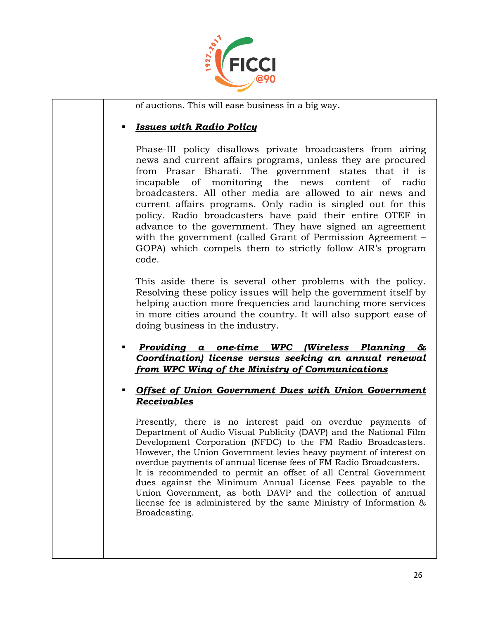

of auctions. This will ease business in a big way.

#### *Issues with Radio Policy*

Phase-III policy disallows private broadcasters from airing news and current affairs programs, unless they are procured from Prasar Bharati. The government states that it is incapable of monitoring the news content of radio broadcasters. All other media are allowed to air news and current affairs programs. Only radio is singled out for this policy. Radio broadcasters have paid their entire OTEF in advance to the government. They have signed an agreement with the government (called Grant of Permission Agreement – GOPA) which compels them to strictly follow AIR's program code.

This aside there is several other problems with the policy. Resolving these policy issues will help the government itself by helping auction more frequencies and launching more services in more cities around the country. It will also support ease of doing business in the industry.

 *Providing a one-time WPC (Wireless Planning & Coordination) license versus seeking an annual renewal from WPC Wing of the Ministry of Communications*

#### *Offset of Union Government Dues with Union Government Receivables*

Presently, there is no interest paid on overdue payments of Department of Audio Visual Publicity (DAVP) and the National Film Development Corporation (NFDC) to the FM Radio Broadcasters. However, the Union Government levies heavy payment of interest on overdue payments of annual license fees of FM Radio Broadcasters. It is recommended to permit an offset of all Central Government dues against the Minimum Annual License Fees payable to the Union Government, as both DAVP and the collection of annual license fee is administered by the same Ministry of Information & Broadcasting.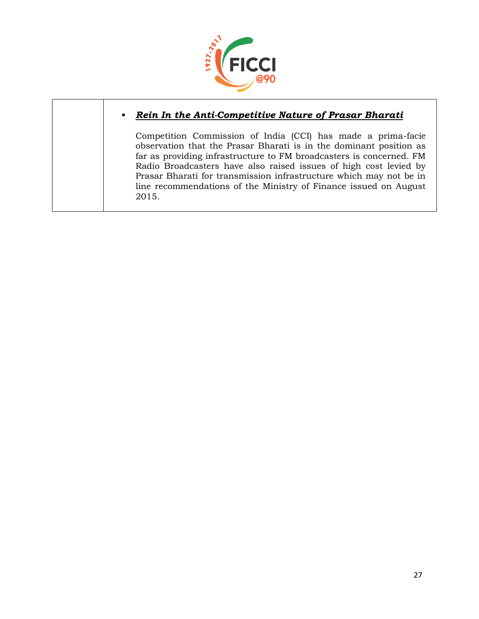

#### *Rein In the Anti-Competitive Nature of Prasar Bharati*

Competition Commission of India (CCI) has made a prima-facie observation that the Prasar Bharati is in the dominant position as far as providing infrastructure to FM broadcasters is concerned. FM Radio Broadcasters have also raised issues of high cost levied by Prasar Bharati for transmission infrastructure which may not be in line recommendations of the Ministry of Finance issued on August 2015.